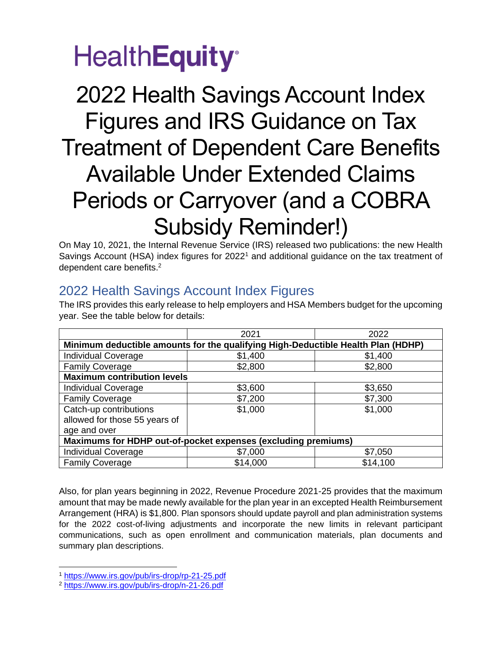# **HealthEquity**<sup>®</sup>

## 2022 Health Savings Account Index Figures and IRS Guidance on Tax Treatment of Dependent Care Benefits Available Under Extended Claims Periods or Carryover (and a COBRA Subsidy Reminder!)

On May 10, 2021, the Internal Revenue Service (IRS) released two publications: the new Health Savings Account (HSA) index figures for 2022<sup>1</sup> and additional guidance on the tax treatment of dependent care benefits. 2

### 2022 Health Savings Account Index Figures

The IRS provides this early release to help employers and HSA Members budget for the upcoming year. See the table below for details:

|                                                                                  | 2021     | 2022     |
|----------------------------------------------------------------------------------|----------|----------|
| Minimum deductible amounts for the qualifying High-Deductible Health Plan (HDHP) |          |          |
| <b>Individual Coverage</b>                                                       | \$1,400  | \$1,400  |
| <b>Family Coverage</b>                                                           | \$2,800  | \$2,800  |
| <b>Maximum contribution levels</b>                                               |          |          |
| <b>Individual Coverage</b>                                                       | \$3,600  | \$3,650  |
| <b>Family Coverage</b>                                                           | \$7,200  | \$7,300  |
| Catch-up contributions                                                           | \$1,000  | \$1,000  |
| allowed for those 55 years of                                                    |          |          |
| age and over                                                                     |          |          |
| Maximums for HDHP out-of-pocket expenses (excluding premiums)                    |          |          |
| <b>Individual Coverage</b>                                                       | \$7,000  | \$7,050  |
| <b>Family Coverage</b>                                                           | \$14,000 | \$14,100 |

Also, for plan years beginning in 2022, Revenue Procedure 2021-25 provides that the maximum amount that may be made newly available for the plan year in an excepted Health Reimbursement Arrangement (HRA) is \$1,800. Plan sponsors should update payroll and plan administration systems for the 2022 cost-of-living adjustments and incorporate the new limits in relevant participant communications, such as open enrollment and communication materials, plan documents and summary plan descriptions.

<sup>1</sup> <https://www.irs.gov/pub/irs-drop/rp-21-25.pdf>

<sup>2</sup> <https://www.irs.gov/pub/irs-drop/n-21-26.pdf>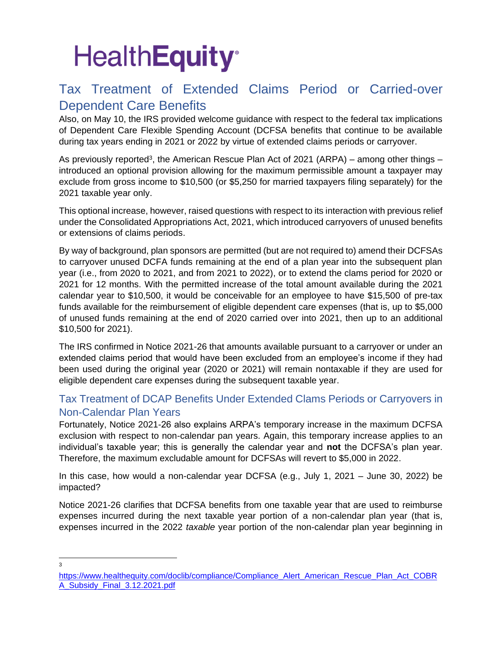# **HealthEquity®**

### Tax Treatment of Extended Claims Period or Carried-over Dependent Care Benefits

Also, on May 10, the IRS provided welcome guidance with respect to the federal tax implications of Dependent Care Flexible Spending Account (DCFSA benefits that continue to be available during tax years ending in 2021 or 2022 by virtue of extended claims periods or carryover.

As previously reported<sup>3</sup>, the American Rescue Plan Act of 2021 (ARPA) – among other things – introduced an optional provision allowing for the maximum permissible amount a taxpayer may exclude from gross income to \$10,500 (or \$5,250 for married taxpayers filing separately) for the 2021 taxable year only.

This optional increase, however, raised questions with respect to its interaction with previous relief under the Consolidated Appropriations Act, 2021, which introduced carryovers of unused benefits or extensions of claims periods.

By way of background, plan sponsors are permitted (but are not required to) amend their DCFSAs to carryover unused DCFA funds remaining at the end of a plan year into the subsequent plan year (i.e., from 2020 to 2021, and from 2021 to 2022), or to extend the clams period for 2020 or 2021 for 12 months. With the permitted increase of the total amount available during the 2021 calendar year to \$10,500, it would be conceivable for an employee to have \$15,500 of pre-tax funds available for the reimbursement of eligible dependent care expenses (that is, up to \$5,000 of unused funds remaining at the end of 2020 carried over into 2021, then up to an additional \$10,500 for 2021).

The IRS confirmed in Notice 2021-26 that amounts available pursuant to a carryover or under an extended claims period that would have been excluded from an employee's income if they had been used during the original year (2020 or 2021) will remain nontaxable if they are used for eligible dependent care expenses during the subsequent taxable year.

#### Tax Treatment of DCAP Benefits Under Extended Clams Periods or Carryovers in Non-Calendar Plan Years

Fortunately, Notice 2021-26 also explains ARPA's temporary increase in the maximum DCFSA exclusion with respect to non-calendar pan years. Again, this temporary increase applies to an individual's taxable year; this is generally the calendar year and **not** the DCFSA's plan year. Therefore, the maximum excludable amount for DCFSAs will revert to \$5,000 in 2022.

In this case, how would a non-calendar year DCFSA (e.g., July 1, 2021 – June 30, 2022) be impacted?

Notice 2021-26 clarifies that DCFSA benefits from one taxable year that are used to reimburse expenses incurred during the next taxable year portion of a non-calendar plan year (that is, expenses incurred in the 2022 *taxable* year portion of the non-calendar plan year beginning in

3

[https://www.healthequity.com/doclib/compliance/Compliance\\_Alert\\_American\\_Rescue\\_Plan\\_Act\\_COBR](https://www.healthequity.com/doclib/compliance/Compliance_Alert_American_Rescue_Plan_Act_COBRA_Subsidy_Final_3.12.2021.pdf) [A\\_Subsidy\\_Final\\_3.12.2021.pdf](https://www.healthequity.com/doclib/compliance/Compliance_Alert_American_Rescue_Plan_Act_COBRA_Subsidy_Final_3.12.2021.pdf)